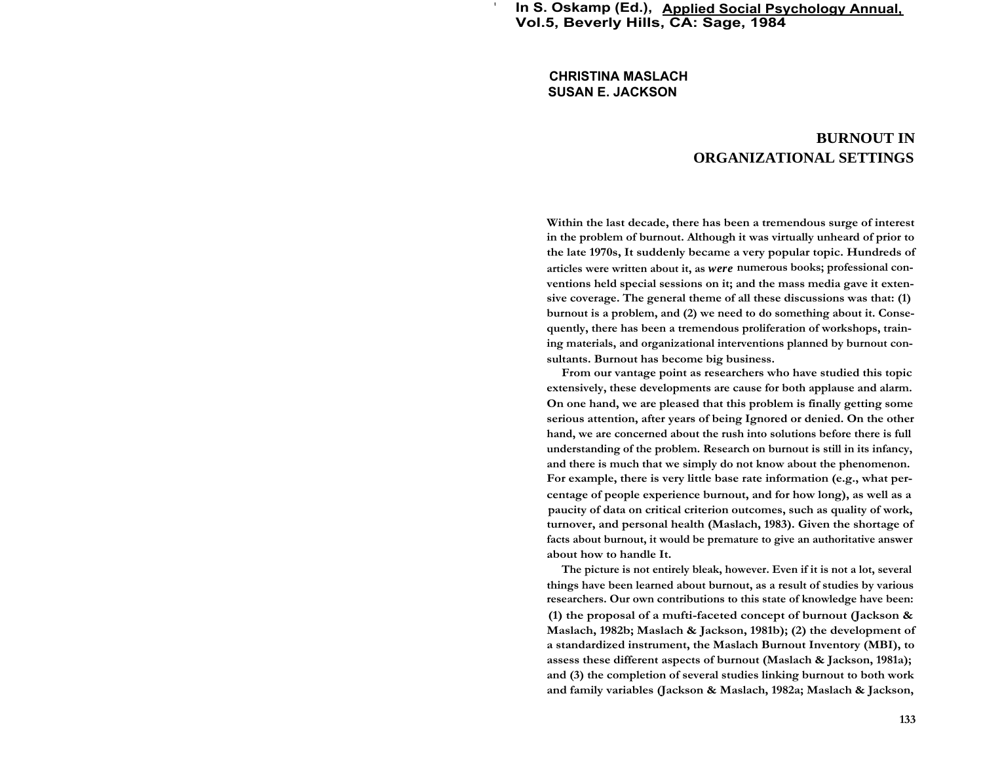**In S. Oskamp (Ed.), Applied Social Psychology Annual, Vol.5, Beverly Hills, CA: Sage, 1984**

**CHRISTINA MASLACH SUSAN E. JACKSON**

**'**

# **BURNOUT IN ORGANIZATIONAL SETTINGS**

**Within the last decade, there has been a tremendous surge of interest in the problem of burnout. Although it was virtually unheard of prior to the late 1970s, It suddenly became a very popular topic. Hundreds of articles were written about it, as** *were* **numerous books; professional conventions held special sessions on it; and the mass media gave it extensive coverage. The general theme of all these discussions was that: (1) burnout is a problem, and (2) we need to do something about it. Consequently, there has been a tremendous proliferation of workshops, training materials, and organizational interventions planned by burnout consultants. Burnout has become big business.**

**From our vantage point as researchers who have studied this topic extensively, these developments are cause for both applause and alarm. On one hand, we are pleased that this problem is finally getting some serious attention, after years of being Ignored or denied. On the other hand, we are concerned about the rush into solutions before there is full understanding of the problem. Research on burnout is still in its infancy, and there is much that we simply do not know about the phenomenon. For example, there is very little base rate information (e.g., what percentage of people experience burnout, and for how long), as well as a paucity of data on critical criterion outcomes, such as quality of work, turnover, and personal health (Maslach, 1983). Given the shortage of facts about burnout, it would be premature to give an authoritative answer about how to handle It.**

**The picture is not entirely bleak, however. Even if it is not a lot, several things have been learned about burnout, as a result of studies by various researchers. Our own contributions to this state of knowledge have been: (1) the proposal of a mufti-faceted concept of burnout (Jackson & Maslach, 1982b; Maslach & Jackson, 1981b); (2) the development of a standardized instrument, the Maslach Burnout Inventory (MBI), to assess these different aspects of burnout (Maslach & Jackson, 1981a); and (3) the completion of several studies linking burnout to both work and family variables (Jackson & Maslach, 1982a; Maslach & Jackson,**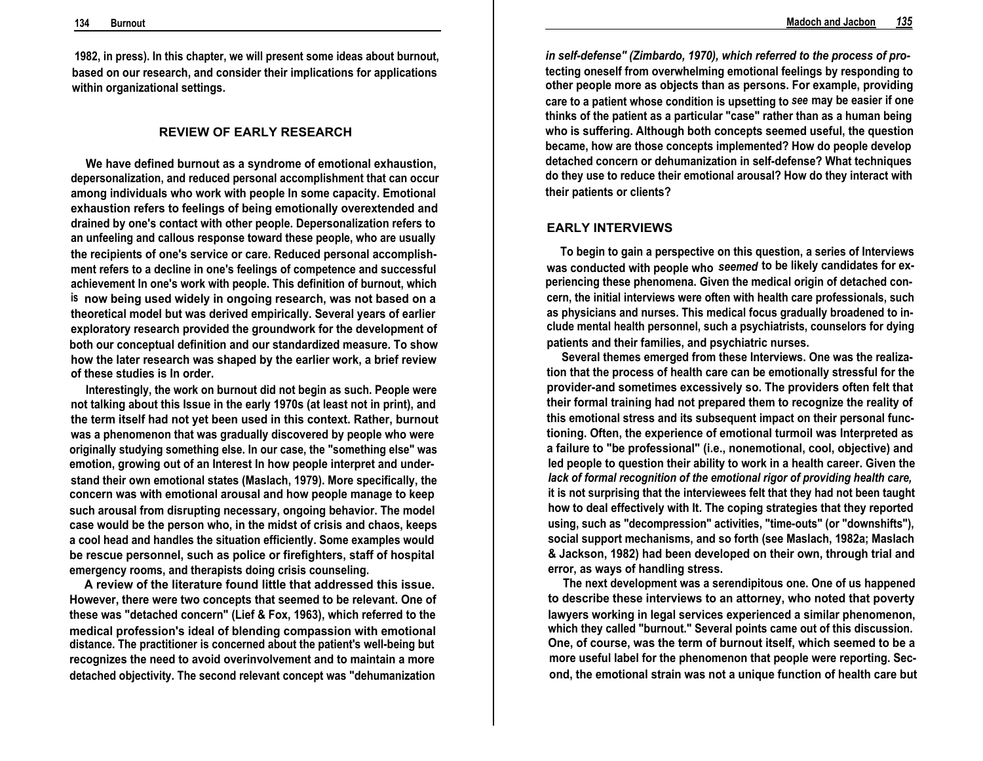**1982, in press). In this chapter, we will present some ideas about burnout, based on our research, and consider their implications for applications within organizational settings.**

# **REVIEW OF EARLY RESEARCH**

**We have defined burnout as a syndrome of emotional exhaustion, depersonalization, and reduced personal accomplishment that can occur among individuals who work with people In some capacity. Emotional exhaustion refers to feelings of being emotionally overextended and drained by one's contact with other people. Depersonalization refers to an unfeeling and callous response toward these people, who are usually the recipients of one's service or care. Reduced personal accomplishment refers to a decline in one's feelings of competence and successful achievement In one's work with people. This definition of burnout, which is now being used widely in ongoing research, was not based on a theoretical model but was derived empirically. Several years of earlier exploratory research provided the groundwork for the development of both our conceptual definition and our standardized measure. To show how the later research was shaped by the earlier work, a brief review of these studies is In order.**

**Interestingly, the work on burnout did not begin as such. People were not talking about this Issue in the early 1970s (at least not in print), and the term itself had not yet been used in this context. Rather, burnout was a phenomenon that was gradually discovered by people who were originally studying something else. In our case, the "something else" was emotion, growing out of an Interest In how people interpret and understand their own emotional states (Maslach, 1979). More specifically, the concern was with emotional arousal and how people manage to keep such arousal from disrupting necessary, ongoing behavior. The model case would be the person who, in the midst of crisis and chaos, keeps a cool head and handles the situation efficiently. Some examples would be rescue personnel, such as police or firefighters, staff of hospital emergency rooms, and therapists doing crisis counseling.**

**A review of the literature found little that addressed this issue. However, there were two concepts that seemed to be relevant. One of these was "detached concern" (Lief & Fox, 1963), which referred to the medical profession's ideal of blending compassion with emotional distance. The practitioner is concerned about the patient's well-being but recognizes the need to avoid overinvolvement and to maintain a more detached objectivity. The second relevant concept was "dehumanization**

*in self-defense" (Zimbardo, 1970), which referred to the process of pro***tecting oneself from overwhelming emotional feelings by responding to other people more as objects than as persons. For example, providing care to a patient whose condition is upsetting to** *see* **may be easier if one thinks of the patient as a particular "case" rather than as a human being who is suffering. Although both concepts seemed useful, the question became, how are those concepts implemented? How do people develop detached concern or dehumanization in self-defense? What techniques do they use to reduce their emotional arousal? How do they interact with their patients or clients?**

# **EARLY INTERVIEWS**

**To begin to gain a perspective on this question, a series of Interviews was conducted with people who** *seemed* **to be likely candidates for experiencing these phenomena. Given the medical origin of detached concern, the initial interviews were often with health care professionals, such as physicians and nurses. This medical focus gradually broadened to include mental health personnel, such a psychiatrists, counselors for dying patients and their families, and psychiatric nurses.**

**Several themes emerged from these Interviews. One was the realization that the process of health care can be emotionally stressful for the provider-and sometimes excessively so. The providers often felt that their formal training had not prepared them to recognize the reality of this emotional stress and its subsequent impact on their personal functioning. Often, the experience of emotional turmoil was Interpreted as a failure to "be professional" (i.e., nonemotional, cool, objective) and led people to question their ability to work in a health career. Given the** *lack of formal recognition of the emotional rigor of providing health care,* **it is not surprising that the interviewees felt that they had not been taught how to deal effectively with It. The coping strategies that they reported using, such as "decompression" activities, "time-outs" (or "downshifts"), social support mechanisms, and so forth (see Maslach, 1982a; Maslach & Jackson, 1982) had been developed on their own, through trial and error, as ways of handling stress.**

**The next development was a serendipitous one. One of us happened to describe these interviews to an attorney, who noted that poverty lawyers working in legal services experienced a similar phenomenon, which they called "burnout." Several points came out of this discussion. One, of course, was the term of burnout itself, which seemed to be a more useful label for the phenomenon that people were reporting. Second, the emotional strain was not a unique function of health care but**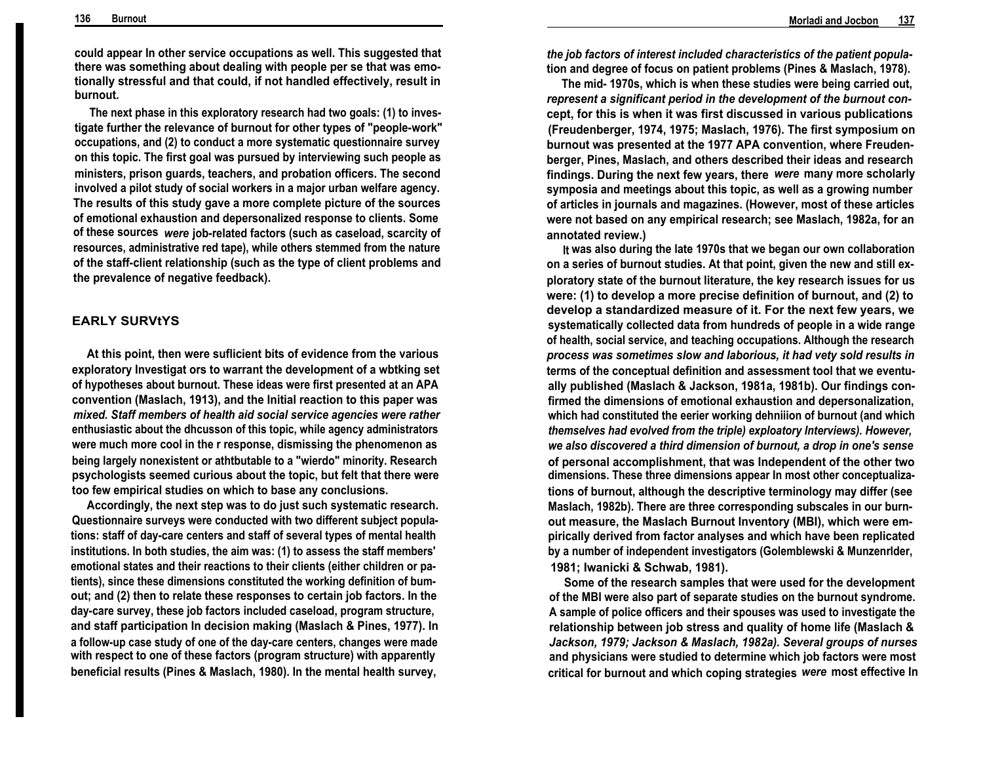**could appear In other service occupations as well. This suggested that there was something about dealing with people per se that was emotionally stressful and that could, if not handled effectively, result in burnout.**

**The next phase in this exploratory research had two goals: (1) to investigate further the relevance of burnout for other types of "people-work" occupations, and (2) to conduct a more systematic questionnaire survey on this topic. The first goal was pursued by interviewing such people as ministers, prison guards, teachers, and probation officers. The second involved a pilot study of social workers in a major urban welfare agency. The results of this study gave a more complete picture of the sources of emotional exhaustion and depersonalized response to clients. Some of these sources** *were* **job-related factors (such as caseload, scarcity of resources, administrative red tape), while others stemmed from the nature of the staff-client relationship (such as the type of client problems and the prevalence of negative feedback).**

# **EARLY SURVtYS**

**At this point, then were suflicient bits of evidence from the various exploratory Investigat ors to warrant the development of a wbtking set of hypotheses about burnout. These ideas were first presented at an APA convention (Maslach, 1913), and the Initial reaction to this paper was** *mixed. Staff members of health aid social service agencies were rather* **enthusiastic about the dhcusson of this topic, while agency administrators were much more cool in the r response, dismissing the phenomenon as being largely nonexistent or athtbutable to a "wierdo" minority. Research psychologists seemed curious about the topic, but felt that there were too few empirical studies on which to base any conclusions.**

**Accordingly, the next step was to do just such systematic research. Questionnaire surveys were conducted with two different subject populations: staff of day-care centers and staff of several types of mental health institutions. In both studies, the aim was: (1) to assess the staff members' emotional states and their reactions to their clients (either children or patients), since these dimensions constituted the working definition of bumout; and (2) then to relate these responses to certain job factors. In the day-care survey, these job factors included caseload, program structure, and staff participation In decision making (Maslach & Pines, 1977). In a follow-up case study of one of the day-care centers, changes were made with respect to one of these factors (program structure) with apparently beneficial results (Pines & Maslach, 1980). In the mental health survey,**

*the job factors of interest included characteristics of the patient popula***tion and degree of focus on patient problems (Pines & Maslach, 1978).**

**The mid- 1970s, which is when these studies were being carried out,** *represent a significant period in the development of the burnout con***cept, for this is when it was first discussed in various publications (Freudenberger, 1974, 1975; Maslach, 1976). The first symposium on burnout was presented at the 1977 APA convention, where Freudenberger, Pines, Maslach, and others described their ideas and research findings. During the next few years, there** *were* **many more scholarly symposia and meetings about this topic, as well as a growing number of articles in journals and magazines. (However, most of these articles were not based on any empirical research; see Maslach, 1982a, for an annotated review.)**

**It was also during the late 1970s that we began our own collaboration on a series of burnout studies. At that point, given the new and still exploratory state of the burnout literature, the key research issues for us were: (1) to develop a more precise definition of burnout, and (2) to develop a standardized measure of it. For the next few years, we systematically collected data from hundreds of people in a wide range of health, social service, and teaching occupations. Although the research** *process was sometimes slow and laborious, it had vety sold results in* **terms of the conceptual definition and assessment tool that we eventually published (Maslach & Jackson, 1981a, 1981b). Our findings confirmed the dimensions of emotional exhaustion and depersonalization, which had constituted the eerier working dehniiion of burnout (and which** *themselves had evolved from the triple) exploatory Interviews). However, we also discovered a third dimension of burnout, a drop in one's sense* **of personal accomplishment, that was Independent of the other two dimensions. These three dimensions appear In most other conceptualizations of burnout, although the descriptive terminology may differ (see Maslach, 1982b). There are three corresponding subscales in our burnout measure, the Maslach Burnout Inventory (MBI), which were empirically derived from factor analyses and which have been replicated by a number of independent investigators (Golemblewski & Munzenrlder, 1981; Iwanicki & Schwab, 1981).**

**Some of the research samples that were used for the development of the MBI were also part of separate studies on the burnout syndrome. A sample of police officers and their spouses was used to investigate the relationship between job stress and quality of home life (Maslach &** *Jackson, 1979; Jackson & Maslach, 1982a). Several groups of nurses* **and physicians were studied to determine which job factors were most critical for burnout and which coping strategies** *were* **most effective In**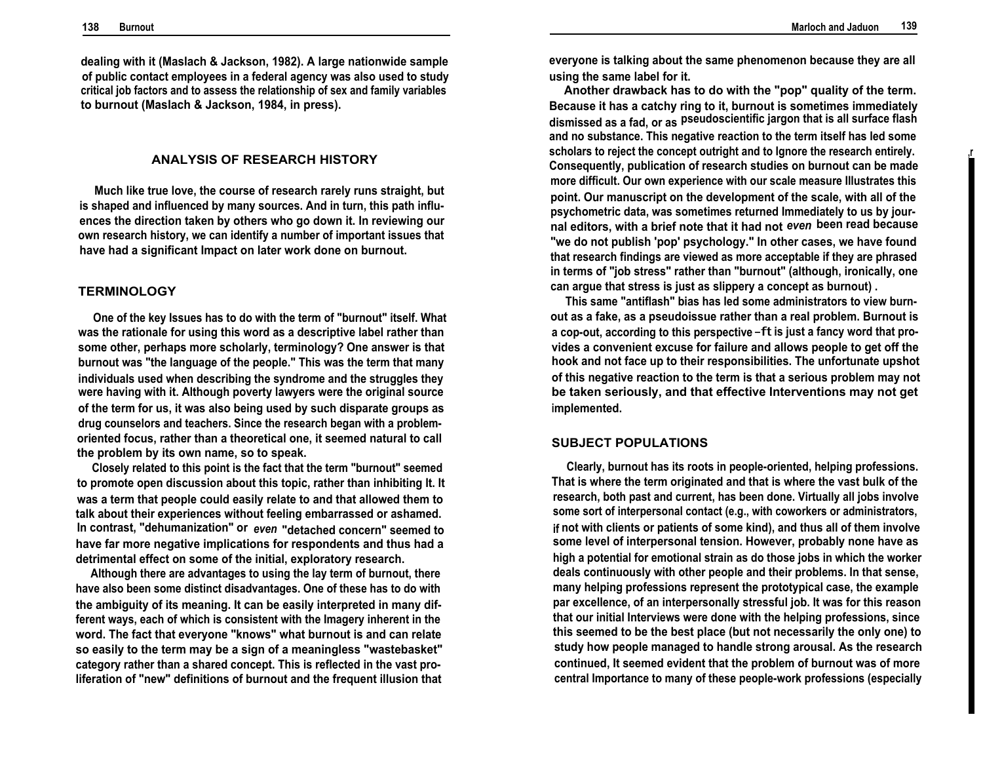**,r**

**dealing with it (Maslach & Jackson, 1982). A large nationwide sample of public contact employees in a federal agency was also used to study critical job factors and to assess the relationship of sex and family variables to burnout (Maslach & Jackson, 1984, in press).**

### **ANALYSIS OF RESEARCH HISTORY**

**Much like true love, the course of research rarely runs straight, but is shaped and influenced by many sources. And in turn, this path influences the direction taken by others who go down it. In reviewing our own research history, we can identify a number of important issues that have had a significant Impact on later work done on burnout.**

### **TERMINOLOGY**

**One of the key Issues has to do with the term of "burnout" itself. What was the rationale for using this word as a descriptive label rather than some other, perhaps more scholarly, terminology? One answer is that burnout was "the language of the people." This was the term that many individuals used when describing the syndrome and the struggles they were having with it. Although poverty lawyers were the original source of the term for us, it was also being used by such disparate groups as drug counselors and teachers. Since the research began with a problemoriented focus, rather than a theoretical one, it seemed natural to call the problem by its own name, so to speak.**

**Closely related to this point is the fact that the term "burnout" seemed to promote open discussion about this topic, rather than inhibiting It. It was a term that people could easily relate to and that allowed them to talk about their experiences without feeling embarrassed or ashamed. In contrast, "dehumanization" or** *even* **"detached concern" seemed to have far more negative implications for respondents and thus had a detrimental effect on some of the initial, exploratory research.**

**Although there are advantages to using the lay term of burnout, there have also been some distinct disadvantages. One of these has to do with the ambiguity of its meaning. It can be easily interpreted in many different ways, each of which is consistent with the Imagery inherent in the word. The fact that everyone "knows" what burnout is and can relate so easily to the term may be a sign of a meaningless "wastebasket" category rather than a shared concept. This is reflected in the vast proliferation of "new" definitions of burnout and the frequent illusion that** **everyone is talking about the same phenomenon because they are all using the same label for it.**

**Another drawback has to do with the "pop" quality of the term. Because it has a catchy ring to it, burnout is sometimes immediately dismissed as a fad, or as pseudoscientific jargon that is all surface flash and no substance. This negative reaction to the term itself has led some scholars to reject the concept outright and to Ignore the research entirely. Consequently, publication of research studies on burnout can be made more difficult. Our own experience with our scale measure Illustrates this point. Our manuscript on the development of the scale, with all of the psychometric data, was sometimes returned Immediately to us by journal editors, with a brief note that it had not** *even* **been read because "we do not publish 'pop' psychology." In other cases, we have found that research findings are viewed as more acceptable if they are phrased in terms of "job stress" rather than "burnout" (although, ironically, one can argue that stress is just as slippery a concept as burnout) .**

**This same "antiflash" bias has led some administrators to view burnout as a fake, as a pseudoissue rather than a real problem. Burnout is a cop-out, according to this perspective** -ft **is just a fancy word that provides a convenient excuse for failure and allows people to get off the hook and not face up to their responsibilities. The unfortunate upshot of this negative reaction to the term is that a serious problem may not be taken seriously, and that effective Interventions may not get implemented.**

# **SUBJECT POPULATIONS**

**Clearly, burnout has its roots in people-oriented, helping professions. That is where the term originated and that is where the vast bulk of the research, both past and current, has been done. Virtually all jobs involve some sort of interpersonal contact (e.g., with coworkers or administrators, if not with clients or patients of some kind), and thus all of them involve some level of interpersonal tension. However, probably none have as high a potential for emotional strain as do those jobs in which the worker deals continuously with other people and their problems. In that sense, many helping professions represent the prototypical case, the example par excellence, of an interpersonally stressful job. It was for this reason that our initial Interviews were done with the helping professions, since this seemed to be the best place (but not necessarily the only one) to study how people managed to handle strong arousal. As the research continued, It seemed evident that the problem of burnout was of more central Importance to many of these people-work professions (especially**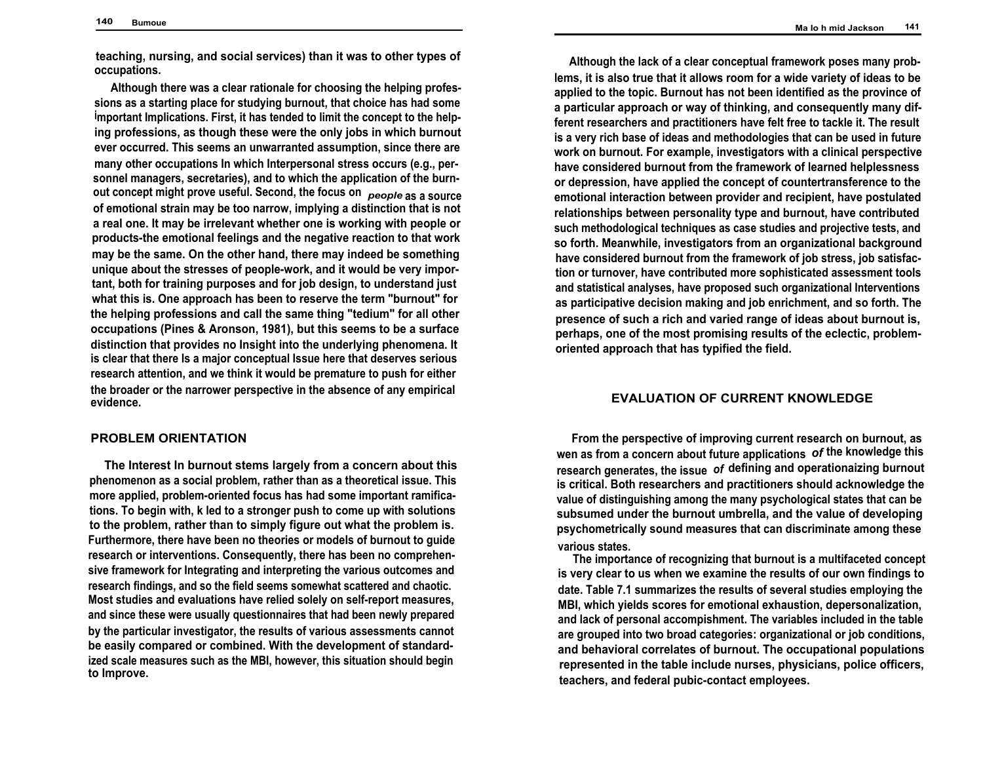**Ma Io h mid Jackson 141**

**teaching, nursing, and social services) than it was to other types of occupations.**

**Although there was a clear rationale for choosing the helping professions as a starting place for studying burnout, that choice has had some important Implications. First, it has tended to limit the concept to the helping professions, as though these were the only jobs in which burnout ever occurred. This seems an unwarranted assumption, since there are many other occupations In which Interpersonal stress occurs (e.g., personnel managers, secretaries), and to which the application of the burnout concept might prove useful. Second, the focus on** *people* **as a source of emotional strain may be too narrow, implying a distinction that is not a real one. It may be irrelevant whether one is working with people or products-the emotional feelings and the negative reaction to that work may be the same. On the other hand, there may indeed be something unique about the stresses of people-work, and it would be very important, both for training purposes and for job design, to understand just what this is. One approach has been to reserve the term "burnout" for the helping professions and call the same thing "tedium" for all other occupations (Pines & Aronson, 1981), but this seems to be a surface distinction that provides no Insight into the underlying phenomena. It is clear that there Is a major conceptual Issue here that deserves serious research attention, and we think it would be premature to push for either the broader or the narrower perspective in the absence of any empirical evidence.**

#### **PROBLEM ORIENTATION**

**The Interest In burnout stems largely from a concern about this phenomenon as a social problem, rather than as a theoretical issue. This more applied, problem-oriented focus has had some important ramifications. To begin with, k led to a stronger push to come up with solutions to the problem, rather than to simply figure out what the problem is. Furthermore, there have been no theories or models of burnout to guide research or interventions. Consequently, there has been no comprehensive framework for Integrating and interpreting the various outcomes and research findings, and so the field seems somewhat scattered and chaotic. Most studies and evaluations have relied solely on self-report measures, and since these were usually questionnaires that had been newly prepared by the particular investigator, the results of various assessments cannot be easily compared or combined. With the development of standardized scale measures such as the MBI, however, this situation should begin to Improve.**

**Although the lack of a clear conceptual framework poses many problems, it is also true that it allows room for a wide variety of ideas to be applied to the topic. Burnout has not been identified as the province of a particular approach or way of thinking, and consequently many different researchers and practitioners have felt free to tackle it. The result is a very rich base of ideas and methodologies that can be used in future work on burnout. For example, investigators with a clinical perspective have considered burnout from the framework of learned helplessness or depression, have applied the concept of countertransference to the emotional interaction between provider and recipient, have postulated relationships between personality type and burnout, have contributed such methodological techniques as case studies and projective tests, and so forth. Meanwhile, investigators from an organizational background have considered burnout from the framework of job stress, job satisfaction or turnover, have contributed more sophisticated assessment tools and statistical analyses, have proposed such organizational Interventions as participative decision making and job enrichment, and so forth. The presence of such a rich and varied range of ideas about burnout is, perhaps, one of the most promising results of the eclectic, problemoriented approach that has typified the field.**

# **EVALUATION OF CURRENT KNOWLEDGE**

**From the perspective of improving current research on burnout, as wen as from a concern about future applications** *of* **the knowledge this research generates, the issue** *of* **defining and operationaizing burnout is critical. Both researchers and practitioners should acknowledge the value of distinguishing among the many psychological states that can be subsumed under the burnout umbrella, and the value of developing psychometrically sound measures that can discriminate among these various states.**

**The importance of recognizing that burnout is a multifaceted concept is very clear to us when we examine the results of our own findings to date. Table 7.1 summarizes the results of several studies employing the MBI, which yields scores for emotional exhaustion, depersonalization, and lack of personal accompishment. The variables included in the table are grouped into two broad categories: organizational or job conditions, and behavioral correlates of burnout. The occupational populations represented in the table include nurses, physicians, police officers, teachers, and federal pubic-contact employees.**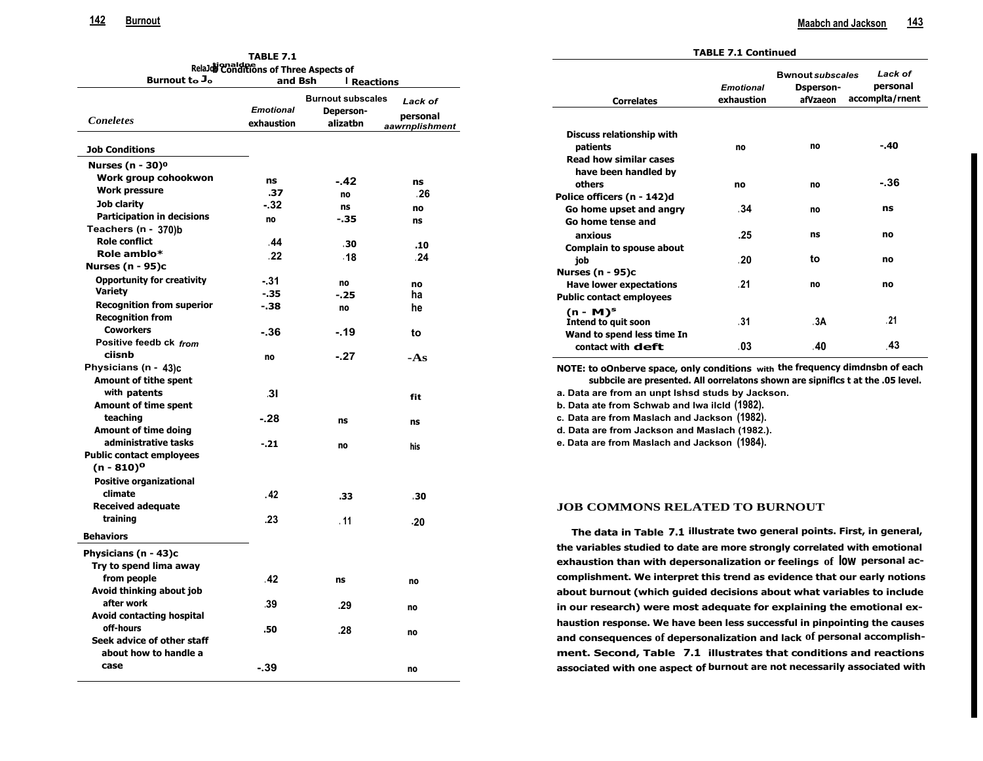**associated with one aspect of burnout are not necessarily associated with**

| <b>TABLE 7.1</b><br>RelaJoi Conditions of Three Aspects of |                                |                          |                            | <b>TABLE 7.1 Continued</b>                                                      |                  |                         |                 |
|------------------------------------------------------------|--------------------------------|--------------------------|----------------------------|---------------------------------------------------------------------------------|------------------|-------------------------|-----------------|
|                                                            |                                |                          |                            |                                                                                 |                  | <b>Bwnout subscales</b> | Lack of         |
| Burnout to J <sub>o</sub>                                  | and Bsh                        | I Reactions              |                            |                                                                                 | <b>Emotional</b> | <b>Dsperson-</b>        | personal        |
|                                                            |                                | <b>Burnout subscales</b> | Lack of                    | <b>Correlates</b>                                                               | exhaustion       | afVzaeon                | accomplta/rnent |
| <b>Concletes</b>                                           | <b>Emotional</b><br>exhaustion | Deperson-<br>alizatbn    | personal<br>aawrnplishment |                                                                                 |                  |                         |                 |
|                                                            |                                |                          |                            | <b>Discuss relationship with</b>                                                |                  |                         |                 |
| <b>Job Conditions</b>                                      |                                |                          |                            | patients                                                                        | no               | no                      | -.40            |
| Nurses (n - 30) $^{\circ}$                                 |                                |                          |                            | <b>Read how similar cases</b>                                                   |                  |                         |                 |
| Work group cohookwon                                       | ns                             | -.42                     | ns                         | have been handled by                                                            |                  |                         | $-.36$          |
| Work pressure                                              | .37                            | no                       | .26                        | others                                                                          | no               | no                      |                 |
| Job clarity                                                | - 32                           | ns                       | no                         | Police officers (n - 142)d                                                      |                  |                         | ns              |
| <b>Participation in decisions</b>                          | no                             | $-35$                    | ns                         | Go home upset and angry                                                         | .34              | no                      |                 |
| Teachers (n - 370)b                                        |                                |                          |                            | Go home tense and                                                               |                  |                         |                 |
| <b>Role conflict</b>                                       | .44                            | .30                      | .10                        | anxious                                                                         | .25              | ns                      | no              |
| Role amblo*                                                | .22                            | .18                      | 24                         | Complain to spouse about                                                        |                  |                         |                 |
| <b>Nurses (n - 95)c</b>                                    |                                |                          |                            | job                                                                             | .20              | to                      | no              |
| <b>Opportunity for creativity</b>                          | $-31$                          | no                       |                            | <b>Nurses (n - 95)c</b>                                                         |                  |                         |                 |
| Variety                                                    | $-35$                          | -.25                     | no<br>ha                   | <b>Have lower expectations</b>                                                  | .21              | no                      | no              |
| <b>Recognition from superior</b>                           | $-.38$                         | no                       | he                         | <b>Public contact employees</b>                                                 |                  |                         |                 |
| <b>Recognition from</b>                                    |                                |                          |                            | $(n - M)^s$                                                                     |                  |                         | .21             |
| <b>Coworkers</b>                                           | -.36                           | $-19$                    | to                         | Intend to quit soon                                                             | .31              | .3A                     |                 |
| Positive feedb ck from                                     |                                |                          |                            | Wand to spend less time In                                                      | .03              | .40                     | .43             |
| ciisnb                                                     | no                             | $-.27$                   | $-As$                      | contact with <b>deft</b>                                                        |                  |                         |                 |
| Physicians (n - 43)c                                       |                                |                          |                            | NOTE: to oOnberve space, only conditions with the frequency dimdnsbn of each    |                  |                         |                 |
| <b>Amount of tithe spent</b>                               |                                |                          |                            | subbcile are presented. All oorrelatons shown are sipnifics t at the .05 level. |                  |                         |                 |
| with patents                                               | .31                            |                          |                            | a. Data are from an unpt Ishsd studs by Jackson.                                |                  |                         |                 |
| <b>Amount of time spent</b>                                |                                |                          | fit                        | b. Data ate from Schwab and Iwa ilcid (1982).                                   |                  |                         |                 |
| teaching                                                   | $-.28$                         | ns                       |                            | c. Data are from Maslach and Jackson (1982).                                    |                  |                         |                 |
| Amount of time doing                                       |                                |                          | ns                         | d. Data are from Jackson and Maslach (1982.).                                   |                  |                         |                 |
| administrative tasks                                       | $-.21$                         | no                       | his                        | e. Data are from Maslach and Jackson (1984).                                    |                  |                         |                 |
| <b>Public contact employees</b>                            |                                |                          |                            |                                                                                 |                  |                         |                 |
| (n - 810) <sup>o</sup>                                     |                                |                          |                            |                                                                                 |                  |                         |                 |
| <b>Positive organizational</b>                             |                                |                          |                            |                                                                                 |                  |                         |                 |
| climate                                                    | . 42                           | .33                      | .30                        |                                                                                 |                  |                         |                 |
| <b>Received adequate</b>                                   |                                |                          |                            | <b>JOB COMMONS RELATED TO BURNOUT</b>                                           |                  |                         |                 |
| training                                                   | .23                            | .11                      | .20                        |                                                                                 |                  |                         |                 |
| <b>Behaviors</b>                                           |                                |                          |                            | The data in Table 7.1 illustrate two general points. First, in general,         |                  |                         |                 |
| Physicians (n - 43)c                                       |                                |                          |                            | the variables studied to date are more strongly correlated with emotional       |                  |                         |                 |
| Try to spend lima away                                     |                                |                          |                            | exhaustion than with depersonalization or feelings of l0W personal ac-          |                  |                         |                 |
| from people                                                | .42                            |                          |                            | complishment. We interpret this trend as evidence that our early notions        |                  |                         |                 |
| Avoid thinking about job                                   |                                | ns                       | no                         | about burnout (which guided decisions about what variables to include           |                  |                         |                 |
| after work                                                 | .39                            |                          |                            |                                                                                 |                  |                         |                 |
| Avoid contacting hospital                                  |                                | .29                      | no                         | in our research) were most adequate for explaining the emotional ex-            |                  |                         |                 |
| off-hours                                                  | .50                            |                          |                            | haustion response. We have been less successful in pinpointing the causes       |                  |                         |                 |
| Seek advice of other staff                                 |                                | .28                      | no                         | and consequences of depersonalization and lack of personal accomplish-          |                  |                         |                 |
| about how to handle a                                      |                                |                          |                            | ment. Second, Table 7.1 illustrates that conditions and reactions               |                  |                         |                 |

**case -.39 no**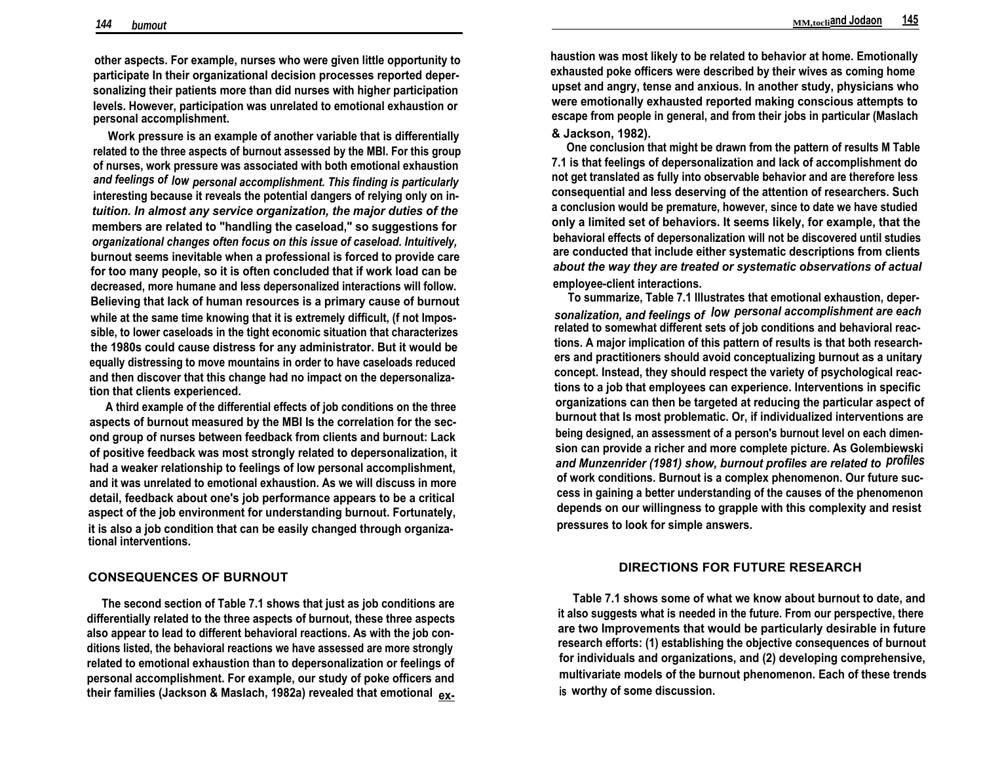**other aspects. For example, nurses who were given little opportunity to participate In their organizational decision processes reported depersonalizing their patients more than did nurses with higher participation levels. However, participation was unrelated to emotional exhaustion or personal accomplishment.**

**Work pressure is an example of another variable that is differentially related to the three aspects of burnout assessed by the MBI. For this group of nurses, work pressure was associated with both emotional exhaustion** *and feelings of low personal accomplishment. This finding is particularly* **interesting because it reveals the potential dangers of relying only on in***tuition. In almost any service organization, the major duties of the* **members are related to "handling the caseload," so suggestions for** *organizational changes often focus on this issue of caseload. Intuitively,* **burnout seems inevitable when a professional is forced to provide care for too many people, so it is often concluded that if work load can be decreased, more humane and less depersonalized interactions will follow. Believing that lack of human resources is a primary cause of burnout while at the same time knowing that it is extremely difficult, (f not Impossible, to lower caseloads in the tight economic situation that characterizes the 1980s could cause distress for any administrator. But it would be equally distressing to move mountains in order to have caseloads reduced and then discover that this change had no impact on the depersonalization that clients experienced.**

**A third example of the differential effects of job conditions on the three aspects of burnout measured by the MBI Is the correlation for the second group of nurses between feedback from clients and burnout: Lack of positive feedback was most strongly related to depersonalization, it had a weaker relationship to feelings of low personal accomplishment, and it was unrelated to emotional exhaustion. As we will discuss in more detail, feedback about one's job performance appears to be a critical aspect of the job environment for understanding burnout. Fortunately, it is also a job condition that can be easily changed through organizational interventions.**

#### **CONSEQUENCES OF BURNOUT**

**The second section of Table 7.1 shows that just as job conditions are differentially related to the three aspects of burnout, these three aspects also appear to lead to different behavioral reactions. As with the job conditions listed, the behavioral reactions we have assessed are more strongly related to emotional exhaustion than to depersonalization or feelings of personal accomplishment. For example, our study of poke officers and their families (Jackson & Maslach, 1982a) revealed that emotional ex-** **haustion was most likely to be related to behavior at home. Emotionally exhausted poke officers were described by their wives as coming home upset and angry, tense and anxious. In another study, physicians who were emotionally exhausted reported making conscious attempts to escape from people in general, and from their jobs in particular (Maslach & Jackson, 1982).**

**One conclusion that might be drawn from the pattern of results M Table 7.1 is that feelings of depersonalization and lack of accomplishment do not get translated as fully into observable behavior and are therefore less consequential and less deserving of the attention of researchers. Such a conclusion would be premature, however, since to date we have studied only a limited set of behaviors. It seems likely, for example, that the behavioral effects of depersonalization will not be discovered until studies are conducted that include either systematic descriptions from clients** *about the way they are treated or systematic observations of actual* **employee-client interactions.**

**To summarize, Table 7.1 Illustrates that emotional exhaustion, deper***sonalization, and feelings of low personal accomplishment are each* **related to somewhat different sets of job conditions and behavioral reactions. A major implication of this pattern of results is that both researchers and practitioners should avoid conceptualizing burnout as a unitary concept. Instead, they should respect the variety of psychological reactions to a job that employees can experience. Interventions in specific organizations can then be targeted at reducing the particular aspect of burnout that Is most problematic. Or, if individualized interventions are being designed, an assessment of a person's burnout level on each dimension can provide a richer and more complete picture. As Golembiewski** *and Munzenrider (1981) show, burnout profiles are related to profiles* **of work conditions. Burnout is a complex phenomenon. Our future success in gaining a better understanding of the causes of the phenomenon depends on our willingness to grapple with this complexity and resist pressures to look for simple answers.**

# **DIRECTIONS FOR FUTURE RESEARCH**

**Table 7.1 shows some of what we know about burnout to date, and it also suggests what is needed in the future. From our perspective, there are two Improvements that would be particularly desirable in future research efforts: (1) establishing the objective consequences of burnout for individuals and organizations, and (2) developing comprehensive, multivariate models of the burnout phenomenon. Each of these trends is worthy of some discussion.**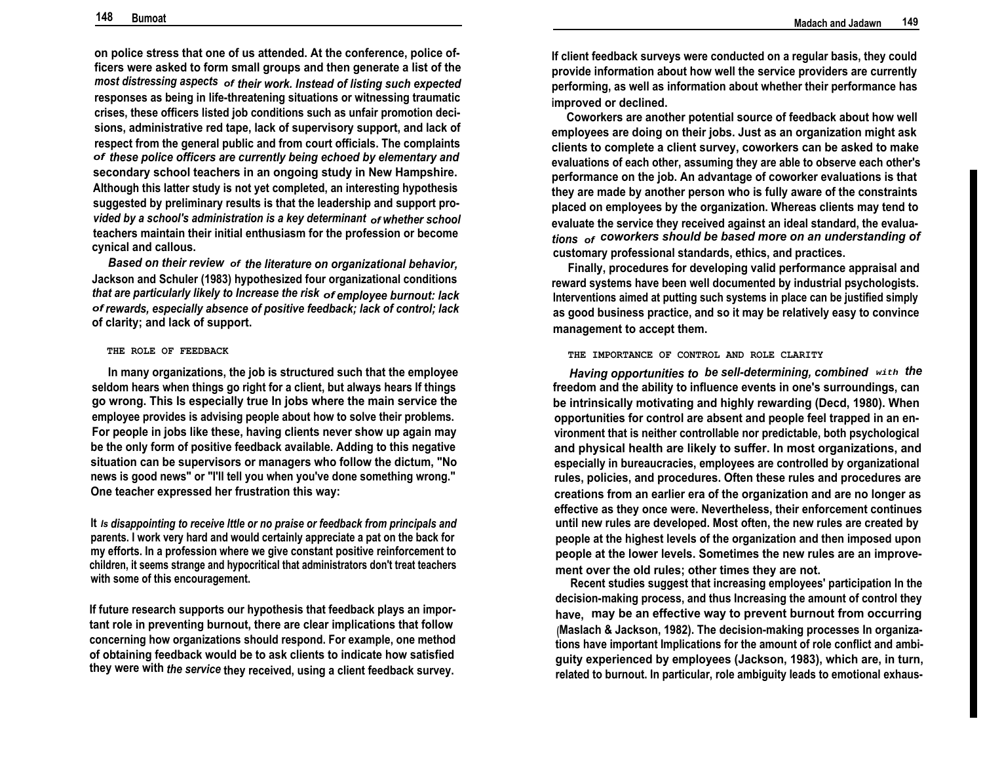**on police stress that one of us attended. At the conference, police officers were asked to form small groups and then generate a list of the** *most distressing aspects of their work. Instead of listing such expected* **responses as being in life-threatening situations or witnessing traumatic crises, these officers listed job conditions such as unfair promotion decisions, administrative red tape, lack of supervisory support, and lack of respect from the general public and from court officials. The complaints** *of these police officers are currently being echoed by elementary and* **secondary school teachers in an ongoing study in New Hampshire. Although this latter study is not yet completed, an interesting hypothesis suggested by preliminary results is that the leadership and support pro***vided by a school's administration is a key determinant of whether school* **teachers maintain their initial enthusiasm for the profession or become cynical and callous.**

*Based on their review of the literature on organizational behavior,* **Jackson and Schuler (1983) hypothesized four organizational conditions** *that are particularly likely to Increase the risk of employee burnout: lack of rewards, especially absence of positive feedback; lack of control; lack* **of clarity; and lack of support.**

#### **THE ROLE OF FEEDBACK**

**In many organizations, the job is structured such that the employee seldom hears when things go right for a client, but always hears If things go wrong. This Is especially true In jobs where the main service the employee provides is advising people about how to solve their problems. For people in jobs like these, having clients never show up again may be the only form of positive feedback available. Adding to this negative situation can be supervisors or managers who follow the dictum, "No news is good news" or "I'll tell you when you've done something wrong." One teacher expressed her frustration this way:**

**It** *Is disappointing to receive lttle or no praise or feedback from principals and* **parents. I work very hard and would certainly appreciate a pat on the back for my efforts. In a profession where we give constant positive reinforcement to children, it seems strange and hypocritical that administrators don't treat teachers with some of this encouragement.**

**If future research supports our hypothesis that feedback plays an important role in preventing burnout, there are clear implications that follow concerning how organizations should respond. For example, one method of obtaining feedback would be to ask clients to indicate how satisfied they were with** *the service* **they received, using a client feedback survey.**

**If client feedback surveys were conducted on a regular basis, they could provide information about how well the service providers are currently performing, as well as information about whether their performance has improved or declined.**

**Coworkers are another potential source of feedback about how well employees are doing on their jobs. Just as an organization might ask clients to complete a client survey, coworkers can be asked to make evaluations of each other, assuming they are able to observe each other's performance on the job. An advantage of coworker evaluations is that they are made by another person who is fully aware of the constraints placed on employees by the organization. Whereas clients may tend to evaluate the service they received against an ideal standard, the evalua***tions of coworkers should be based more on an understanding of* **customary professional standards, ethics, and practices.**

**Finally, procedures for developing valid performance appraisal and reward systems have been well documented by industrial psychologists. Interventions aimed at putting such systems in place can be justified simply as good business practice, and so it may be relatively easy to convince management to accept them.**

#### **THE IMPORTANCE OF CONTROL AND ROLE CLARITY**

*Having opportunities to be sell-determining, combined* **with** *the* **freedom and the ability to influence events in one's surroundings, can be intrinsically motivating and highly rewarding (Decd, 1980). When opportunities for control are absent and people feel trapped in an environment that is neither controllable nor predictable, both psychological and physical health are likely to suffer. In most organizations, and especially in bureaucracies, employees are controlled by organizational rules, policies, and procedures. Often these rules and procedures are creations from an earlier era of the organization and are no longer as effective as they once were. Nevertheless, their enforcement continues until new rules are developed. Most often, the new rules are created by people at the highest levels of the organization and then imposed upon people at the lower levels. Sometimes the new rules are an improvement over the old rules; other times they are not.**

**Recent studies suggest that increasing employees' participation In the decision-making process, and thus Increasing the amount of control they have, may be an effective way to prevent burnout from occurring (Maslach & Jackson, 1982). The decision-making processes In organizations have important Implications for the amount of role conflict and ambiguity experienced by employees (Jackson, 1983), which are, in turn, related to burnout. In particular, role ambiguity leads to emotional exhaus-**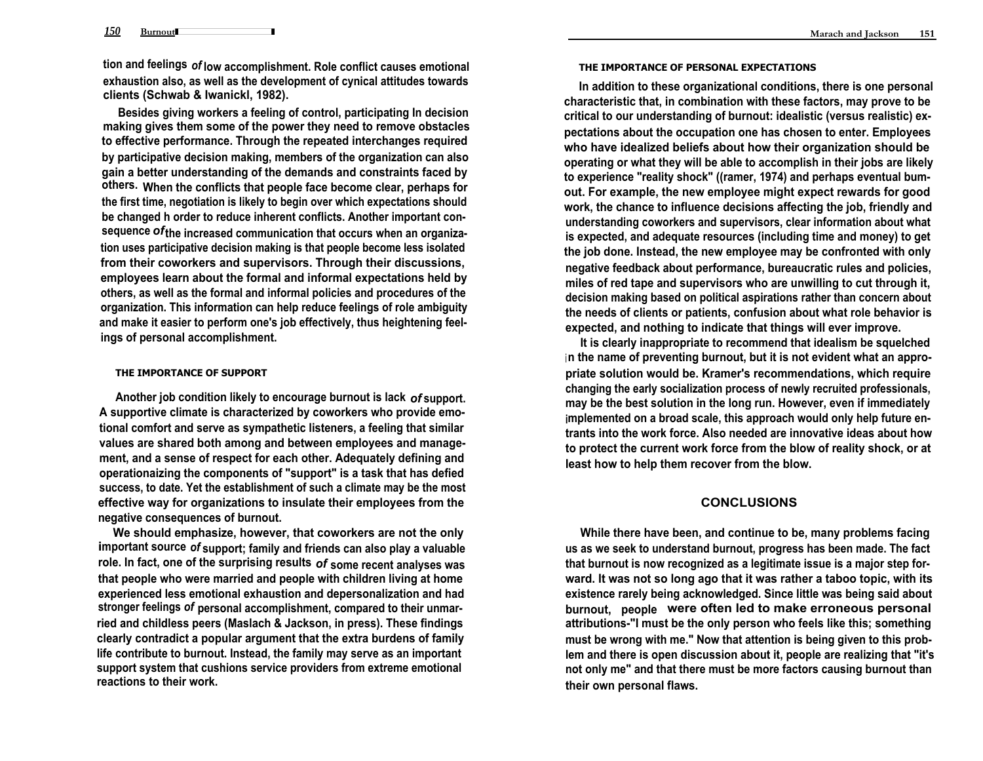**150** Burnout **tion and feelings** *of* **low accomplishment. Role conflict causes emotional exhaustion also, as well as the development of cynical attitudes towards clients (Schwab & Iwanickl, 1982).**

**Besides giving workers a feeling of control, participating In decision making gives them some of the power they need to remove obstacles to effective performance. Through the repeated interchanges required by participative decision making, members of the organization can also gain a better understanding of the demands and constraints faced by others. When the conflicts that people face become clear, perhaps for the first time, negotiation is likely to begin over which expectations should be changed h order to reduce inherent conflicts. Another important consequence** *of***the increased communication that occurs when an organization uses participative decision making is that people become less isolated from their coworkers and supervisors. Through their discussions, employees learn about the formal and informal expectations held by others, as well as the formal and informal policies and procedures of the organization. This information can help reduce feelings of role ambiguity and make it easier to perform one's job effectively, thus heightening feelings of personal accomplishment.**

#### **THE IMPORTANCE OF SUPPORT**

**Another job condition likely to encourage burnout is lack** *of* **support. A supportive climate is characterized by coworkers who provide emotional comfort and serve as sympathetic listeners, a feeling that similar values are shared both among and between employees and management, and a sense of respect for each other. Adequately defining and operationaizing the components of "support" is a task that has defied success, to date. Yet the establishment of such a climate may be the most effective way for organizations to insulate their employees from the negative consequences of burnout.**

**We should emphasize, however, that coworkers are not the only important source** *of* **support; family and friends can also play a valuable role. In fact, one of the surprising results** *of* **some recent analyses was that people who were married and people with children living at home experienced less emotional exhaustion and depersonalization and had stronger feelings** *of* **personal accomplishment, compared to their unmarried and childless peers (Maslach & Jackson, in press). These findings clearly contradict a popular argument that the extra burdens of family life contribute to burnout. Instead, the family may serve as an important support system that cushions service providers from extreme emotional reactions to their work.**

#### **THE IMPORTANCE OF PERSONAL EXPECTATIONS**

**In addition to these organizational conditions, there is one personal characteristic that, in combination with these factors, may prove to be critical to our understanding of burnout: idealistic (versus realistic) expectations about the occupation one has chosen to enter. Employees who have idealized beliefs about how their organization should be operating or what they will be able to accomplish in their jobs are likely to experience "reality shock" ((ramer, 1974) and perhaps eventual bumout. For example, the new employee might expect rewards for good work, the chance to influence decisions affecting the job, friendly and understanding coworkers and supervisors, clear information about what is expected, and adequate resources (including time and money) to get the job done. Instead, the new employee may be confronted with only negative feedback about performance, bureaucratic rules and policies, miles of red tape and supervisors who are unwilling to cut through it, decision making based on political aspirations rather than concern about the needs of clients or patients, confusion about what role behavior is expected, and nothing to indicate that things will ever improve.**

**It is clearly inappropriate to recommend that idealism be squelched <sup>i</sup> n the name of preventing burnout, but it is not evident what an appropriate solution would be. Kramer's recommendations, which require changing the early socialization process of newly recruited professionals, may be the best solution in the long run. However, even if immediately implemented on a broad scale, this approach would only help future entrants into the work force. Also needed are innovative ideas about how to protect the current work force from the blow of reality shock, or at least how to help them recover from the blow.**

# **CONCLUSIONS**

**While there have been, and continue to be, many problems facing us as we seek to understand burnout, progress has been made. The fact that burnout is now recognized as a legitimate issue is a major step forward. It was not so long ago that it was rather a taboo topic, with its existence rarely being acknowledged. Since little was being said about burnout, people were often led to make erroneous personal attributions-"I must be the only person who feels like this; something must be wrong with me." Now that attention is being given to this problem and there is open discussion about it, people are realizing that "it's not only me" and that there must be more factors causing burnout than their own personal flaws.**